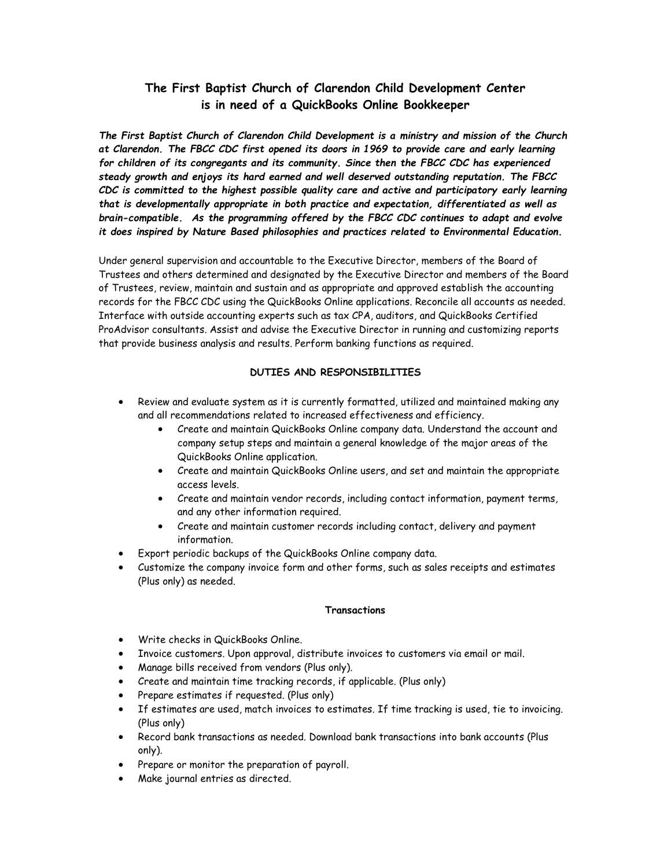# **The First Baptist Church of Clarendon Child Development Center is in need of a QuickBooks Online Bookkeeper**

*The First Baptist Church of Clarendon Child Development is a ministry and mission of the Church at Clarendon. The FBCC CDC first opened its doors in 1969 to provide care and early learning for children of its congregants and its community. Since then the FBCC CDC has experienced steady growth and enjoys its hard earned and well deserved outstanding reputation. The FBCC CDC is committed to the highest possible quality care and active and participatory early learning that is developmentally appropriate in both practice and expectation, differentiated as well as brain-compatible. As the programming offered by the FBCC CDC continues to adapt and evolve it does inspired by Nature Based philosophies and practices related to Environmental Education.*

Under general supervision and accountable to the Executive Director, members of the Board of Trustees and others determined and designated by the Executive Director and members of the Board of Trustees, review, maintain and sustain and as appropriate and approved establish the accounting records for the FBCC CDC using the QuickBooks Online applications. Reconcile all accounts as needed. Interface with outside accounting experts such as tax CPA, auditors, and QuickBooks Certified ProAdvisor consultants. Assist and advise the Executive Director in running and customizing reports that provide business analysis and results. Perform banking functions as required.

### **DUTIES AND RESPONSIBILITIES**

- Review and evaluate system as it is currently formatted, utilized and maintained making any and all recommendations related to increased effectiveness and efficiency.
	- Create and maintain QuickBooks Online company data. Understand the account and company setup steps and maintain a general knowledge of the major areas of the QuickBooks Online application.
	- Create and maintain QuickBooks Online users, and set and maintain the appropriate access levels.
	- Create and maintain vendor records, including contact information, payment terms, and any other information required.
	- Create and maintain customer records including contact, delivery and payment information.
- Export periodic backups of the QuickBooks Online company data.
- Customize the company invoice form and other forms, such as sales receipts and estimates (Plus only) as needed.

#### **Transactions**

- Write checks in QuickBooks Online.
- Invoice customers. Upon approval, distribute invoices to customers via email or mail.
- Manage bills received from vendors (Plus only).
- Create and maintain time tracking records, if applicable. (Plus only)
- Prepare estimates if requested. (Plus only)
- If estimates are used, match invoices to estimates. If time tracking is used, tie to invoicing. (Plus only)
- Record bank transactions as needed. Download bank transactions into bank accounts (Plus only).
- Prepare or monitor the preparation of payroll.
- Make journal entries as directed.